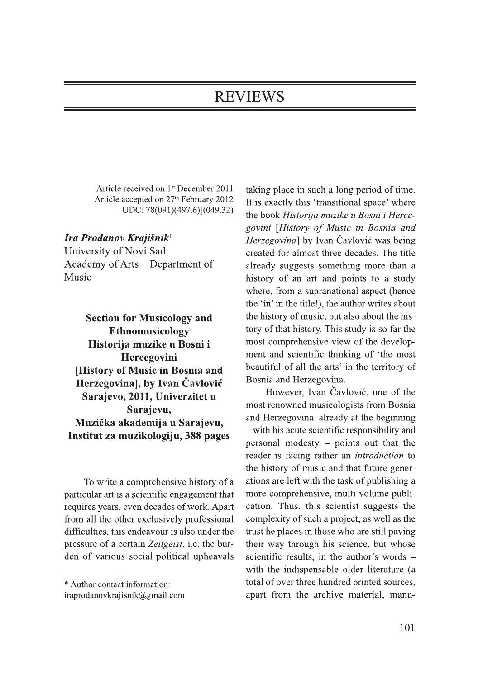## **REVIEWS**

Article received on 1<sup>st</sup> December 2011 Article accepted on 27<sup>th</sup> February 2012 UDC: 78(091)(497.6)](049.32)

## Ira Prodanov Krajišnik<sup>1</sup>

University of Novi Sad Academy of Arts – Department of Music

**Section for Musicology and** Ethnomusicology Historija muzike u Bosni i Hercegovini **History of Music in Bosnia and** Herzegovinal, by Ivan Čavlović Sarajevo, 2011, Univerzitet u Sarajevu, Muzička akademija u Sarajevu, Institut za muzikologiju, 388 pages

To write a comprehensive history of a particular art is a scientific engagement that requires years, even decades of work. Apart from all the other exclusively professional difficulties, this endeavour is also under the pressure of a certain Zeitgeist, i.e. the burden of various social-political upheavals

taking place in such a long period of time. It is exactly this 'transitional space' where the book Historija muzike u Bosni i Hercegovini [History of Music in Bosnia and Herzegovina] by Ivan Čavlović was being created for almost three decades. The title already suggests something more than a history of an art and points to a study where, from a supranational aspect (hence the 'in' in the title!), the author writes about the history of music, but also about the history of that history. This study is so far the most comprehensive view of the development and scientific thinking of 'the most beautiful of all the arts' in the territory of Bosnia and Herzegovina.

However, Ivan Čavlović, one of the most renowned musicologists from Bosnia and Herzegovina, already at the beginning - with his acute scientific responsibility and personal modesty – points out that the reader is facing rather an *introduction* to the history of music and that future generations are left with the task of publishing a more comprehensive, multi-volume publication. Thus, this scientist suggests the complexity of such a project, as well as the trust he places in those who are still paving their way through his science, but whose scientific results, in the author's words with the indispensable older literature (a total of over three hundred printed sources, apart from the archive material, manu-

<sup>\*</sup> Author contact information:

iraprodanovkrajisnik@gmail.com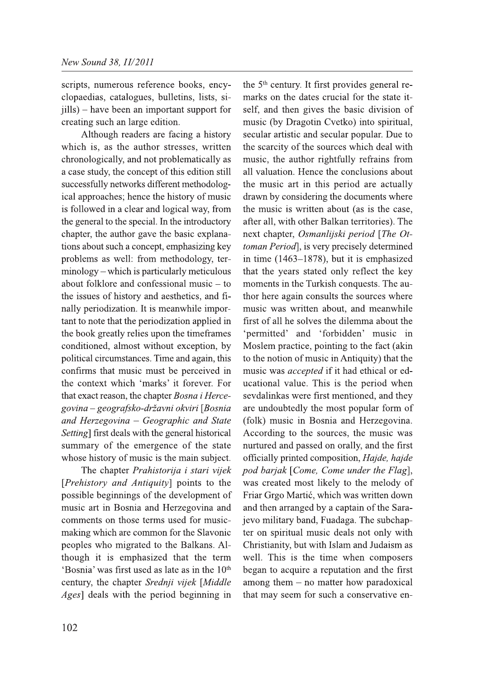scripts, numerous reference books, encyclopaedias, catalogues, bulletins, lists, sijills) – have been an important support for creating such an large edition.

Although readers are facing a history which is, as the author stresses, written chronologically, and not problematically as a case study, the concept of this edition still successfully networks different methodological approaches; hence the history of music is followed in a clear and logical way, from the general to the special. In the introductory chapter, the author gave the basic explanations about such a concept, emphasizing key problems as well: from methodology, terminology – which is particularly meticulous about folklore and confessional music  $-$  to the issues of history and aesthetics, and finally periodization. It is meanwhile important to note that the periodization applied in the book greatly relies upon the timeframes conditioned, almost without exception, by political circumstances. Time and again, this confirms that music must be perceived in the context which 'marks' it forever. For that exact reason, the chapter Bosna i Hercegovina - geografsko-državni okviri [Bosnia and Herzegovina - Geographic and State Setting] first deals with the general historical summary of the emergence of the state whose history of music is the main subject.

The chapter Prahistorija i stari vijek [Prehistory and Antiquity] points to the possible beginnings of the development of music art in Bosnia and Herzegovina and comments on those terms used for musicmaking which are common for the Slavonic peoples who migrated to the Balkans. Although it is emphasized that the term 'Bosnia' was first used as late as in the 10<sup>th</sup> century, the chapter Srednji vijek [Middle *Ages* deals with the period beginning in

the 5<sup>th</sup> century. It first provides general remarks on the dates crucial for the state itself, and then gives the basic division of music (by Dragotin Cvetko) into spiritual, secular artistic and secular popular. Due to the scarcity of the sources which deal with music, the author rightfully refrains from all valuation. Hence the conclusions about the music art in this period are actually drawn by considering the documents where the music is written about (as is the case, after all, with other Balkan territories). The next chapter, Osmanlijski period [The Ottoman Period], is very precisely determined in time  $(1463-1878)$ , but it is emphasized that the years stated only reflect the key moments in the Turkish conquests. The author here again consults the sources where music was written about, and meanwhile first of all he solves the dilemma about the 'permitted' and 'forbidden' music in Moslem practice, pointing to the fact (akin to the notion of music in Antiquity) that the music was *accepted* if it had ethical or educational value. This is the period when sevdalinkas were first mentioned, and they are undoubtedly the most popular form of (folk) music in Bosnia and Herzegovina. According to the sources, the music was nurtured and passed on orally, and the first officially printed composition, Hajde, hajde pod barjak [Come, Come under the Flag], was created most likely to the melody of Friar Grgo Martić, which was written down and then arranged by a captain of the Sarajevo military band, Fuadaga. The subchapter on spiritual music deals not only with Christianity, but with Islam and Judaism as well. This is the time when composers began to acquire a reputation and the first among them - no matter how paradoxical that may seem for such a conservative en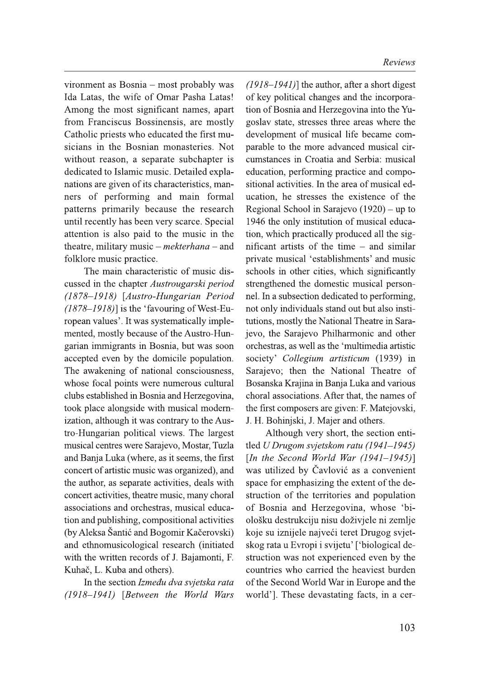vironment as Bosnia - most probably was Ida Latas, the wife of Omar Pasha Latas! Among the most significant names, apart from Franciscus Bossinensis, are mostly Catholic priests who educated the first musicians in the Bosnian monasteries. Not without reason, a separate subchapter is dedicated to Islamic music. Detailed explanations are given of its characteristics, manners of performing and main formal patterns primarily because the research until recently has been very scarce. Special attention is also paid to the music in the theatre, military music – mekterhana – and folklore music practice.

The main characteristic of music discussed in the chapter Austrougarski period (1878-1918) [Austro-Hungarian Period  $(1878-1918)$  is the 'favouring of West-European values'. It was systematically implemented, mostly because of the Austro-Hungarian immigrants in Bosnia, but was soon accepted even by the domicile population. The awakening of national consciousness, whose focal points were numerous cultural clubs established in Bosnia and Herzegovina, took place alongside with musical modernization, although it was contrary to the Austro-Hungarian political views. The largest musical centres were Sarajevo, Mostar, Tuzla and Banja Luka (where, as it seems, the first concert of artistic music was organized), and the author, as separate activities, deals with concert activities, theatre music, many choral associations and orchestras, musical education and publishing, compositional activities (by Aleksa Šantić and Bogomir Kačerovski) and ethnomusicological research (initiated with the written records of J. Bajamonti, F. Kuhač, L. Kuba and others).

In the section Između dva svjetska rata (1918–1941) [Between the World Wars  $(1918-1941)$ ] the author, after a short digest of key political changes and the incorporation of Bosnia and Herzegovina into the Yugoslav state, stresses three areas where the development of musical life became comparable to the more advanced musical circumstances in Croatia and Serbia: musical education, performing practice and compositional activities. In the area of musical education, he stresses the existence of the Regional School in Sarajevo  $(1920)$  – up to 1946 the only institution of musical education, which practically produced all the significant artists of the time  $-$  and similar private musical 'establishments' and music schools in other cities, which significantly strengthened the domestic musical personnel. In a subsection dedicated to performing, not only individuals stand out but also institutions, mostly the National Theatre in Sarajevo, the Sarajevo Philharmonic and other orchestras, as well as the 'multimedia artistic society' Collegium artisticum (1939) in Sarajevo; then the National Theatre of Bosanska Krajina in Banja Luka and various choral associations. After that, the names of the first composers are given: F. Matejovski, J. H. Bohinjski, J. Majer and others.

Although very short, the section entitled U Drugom svjetskom ratu (1941–1945) [In the Second World War  $(1941-1945)$ ] was utilized by Čavlović as a convenient space for emphasizing the extent of the destruction of the territories and population of Bosnia and Herzegovina, whose 'biološku destrukciju nisu doživjele ni zemlje koje su iznijele najveći teret Drugog svjetskog rata u Evropi i svijetu' ['biological destruction was not experienced even by the countries who carried the heaviest burden of the Second World War in Europe and the world']. These devastating facts, in a cer